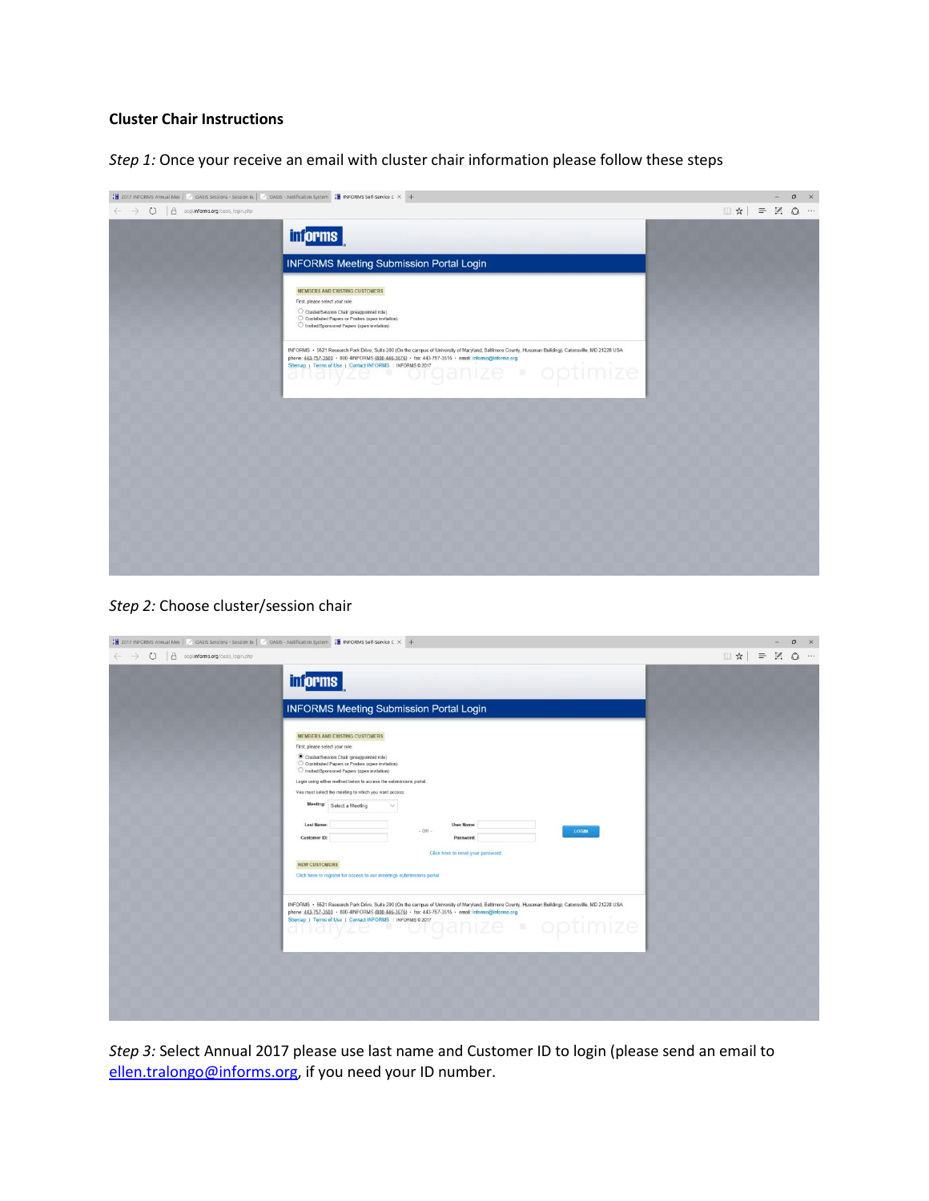# **Cluster Chair Instructions**

*Step 1:* Once your receive an email with cluster chair information please follow these steps

| 28 2017 INFORMS Annual Met   2005IS Sessions - Session BL   2005IS - Notification System 28 INFORMS Self-Service C X +                                                                                                                                                                                                                                                                         |                                                                                                            | $\circ$ | $\mathsf{X}$ |
|------------------------------------------------------------------------------------------------------------------------------------------------------------------------------------------------------------------------------------------------------------------------------------------------------------------------------------------------------------------------------------------------|------------------------------------------------------------------------------------------------------------|---------|--------------|
| $\leftarrow$ $\rightarrow$ $\bullet$ $\bullet$ $\bullet$ acgi <b>informs.org</b> /oasis_login.php                                                                                                                                                                                                                                                                                              | $\begin{array}{c} \square \mathbf{A} \end{array} = \begin{array}{c} \square \mathbf{A} \end{array} \cdots$ |         |              |
| <b>informs</b>                                                                                                                                                                                                                                                                                                                                                                                 |                                                                                                            |         |              |
| <b>INFORMS Meeting Submission Portal Login</b>                                                                                                                                                                                                                                                                                                                                                 |                                                                                                            |         |              |
| <b>MEMBERS AND EXISTING CUSTOMERS</b><br>First, please select your role:<br>Cluster/Session Chair (preappointed role)<br>C Contributed Papers or Posters (open invitation)<br>O Invited/Sponsored Papers (open invitation)                                                                                                                                                                     |                                                                                                            |         |              |
| INFORMS · 5521 Research Park Drive, Suite 200 (On the campus of University of Maryland, Baltimore County, Hussman Building), Catonsville, MD 21228 USA<br>phone: 443-757-3500 · 800-4INFORMS (800-446-3676) · fax: 443-757-3515 · email: informs@informs.org<br>Stemap   Terms of Use   Contact NFORMS   INFORMS 02017<br>Stemap   Terms of Use   Contact NFORMS   INFORMS 02017<br>· optimize |                                                                                                            |         |              |
|                                                                                                                                                                                                                                                                                                                                                                                                |                                                                                                            |         |              |
|                                                                                                                                                                                                                                                                                                                                                                                                |                                                                                                            |         |              |
|                                                                                                                                                                                                                                                                                                                                                                                                |                                                                                                            |         |              |
|                                                                                                                                                                                                                                                                                                                                                                                                |                                                                                                            |         |              |
|                                                                                                                                                                                                                                                                                                                                                                                                |                                                                                                            |         |              |
|                                                                                                                                                                                                                                                                                                                                                                                                |                                                                                                            |         |              |
|                                                                                                                                                                                                                                                                                                                                                                                                |                                                                                                            |         |              |

#### *Step 2:* Choose cluster/session chair

| 28 2017 INFORMS Annual Met   / OASIS Sessions - Session Bt   / OASIS - Notification System 28 INFORMS Self-Service C × + |                                                                                                                                                                                                                                                                                                                                                                                                                                                                                                                                                                                                                         |                           |  | $\circ$<br>$\mathsf{X}$                             |
|--------------------------------------------------------------------------------------------------------------------------|-------------------------------------------------------------------------------------------------------------------------------------------------------------------------------------------------------------------------------------------------------------------------------------------------------------------------------------------------------------------------------------------------------------------------------------------------------------------------------------------------------------------------------------------------------------------------------------------------------------------------|---------------------------|--|-----------------------------------------------------|
| O   A acgi <b>informs.org</b> /oasis_login.php<br>$\leftarrow$ $\rightarrow$                                             |                                                                                                                                                                                                                                                                                                                                                                                                                                                                                                                                                                                                                         | $\mathbb{R} = \mathbb{R}$ |  | $\begin{array}{ccc}\n\bullet & \cdots\n\end{array}$ |
|                                                                                                                          | <b>Morms</b>                                                                                                                                                                                                                                                                                                                                                                                                                                                                                                                                                                                                            |                           |  |                                                     |
|                                                                                                                          | <b>INFORMS Meeting Submission Portal Login</b>                                                                                                                                                                                                                                                                                                                                                                                                                                                                                                                                                                          |                           |  |                                                     |
|                                                                                                                          | <b>MEMBERS AND EXISTING CUSTOMERS</b><br>First, please select your role:<br>Cluster/Session Chair (preappointed role)<br>O Contributed Papers or Posters (open invitation)<br>O Invited/Sponsored Papers (open invitation)<br>Login using either method below to access the submissions portal.<br>You must select the meeting to which you want access.<br>Meeting: Select a Meeting<br>Ň.<br>Last Name:<br>User Name:<br>$- OR -$<br><b>LOGIN</b><br>Customer ID:<br>Password:<br>Click here to reset your password.<br><b>NEW CUSTOMERS</b><br>Click here to register for access to our meetings submissions portal. |                           |  |                                                     |
|                                                                                                                          | INFORMS · 5521 Research Park Drive, Suite 200 (On the campus of University of Maryland, Baltimore County, Hussman Building), Catonsville, MD 21228 USA<br>phone: 443-757-3500 · 800-4INFORMS (800-446-3676) · fax: 443-757-3515 · email: informs@informs.org<br>Phone: 443-12x-302x<br>Sitemap   Terms of Use   Contact INFORMS   INFORMS 02017<br>optimize<br>THE.                                                                                                                                                                                                                                                     |                           |  |                                                     |

*Step 3:* Select Annual 2017 please use last name and Customer ID to login (please send an email to [ellen.tralongo@informs.org,](mailto:ellen.tralongo@informs.org) if you need your ID number.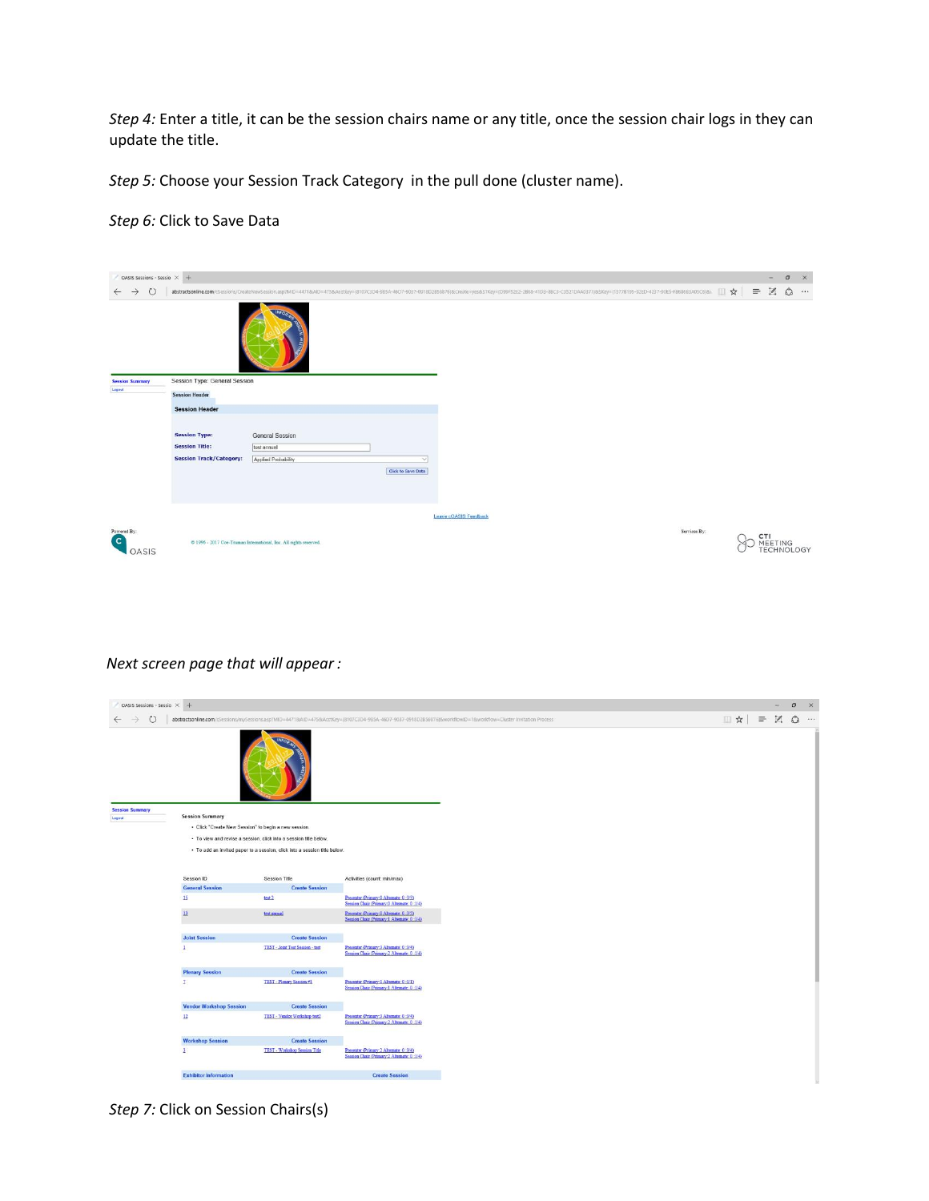*Step 4:* Enter a title, it can be the session chairs name or any title, once the session chair logs in they can update the title.

*Step 5:* Choose your Session Track Category in the pull done (cluster name).

## *Step 6:* Click to Save Data



## *Next screen page that will appear :*

| OASIS Sessions - Sessio X +      |                                                                                |                                                                                                                                                |                                                                                                                                                                  |
|----------------------------------|--------------------------------------------------------------------------------|------------------------------------------------------------------------------------------------------------------------------------------------|------------------------------------------------------------------------------------------------------------------------------------------------------------------|
| $\circ$                          |                                                                                |                                                                                                                                                | abstractsonline.com/cSessions/mySessions.asp/MID=44718xAID=4758xAcctKey=(8107C3D4-985A-46D7-9037-0918D2856876)&workflowID=18xworkflow=Cluster Invitation Process |
|                                  |                                                                                |                                                                                                                                                |                                                                                                                                                                  |
| <b>Session Summary</b><br>Logout | <b>Session Summary</b><br>· Click "Create New Session" to begin a new session. | · To view and revise a session, click into a session title below.<br>· To add an invited paper to a session, click into a session title below. |                                                                                                                                                                  |
|                                  | Session ID<br><b>General Session</b>                                           | <b>Session Title</b><br><b>Create Session</b>                                                                                                  | Activities (count: min/max)                                                                                                                                      |
|                                  | 15                                                                             | test 2                                                                                                                                         | Presenter (Primary:0 Alternate: 0:3/5)<br>Seation Chair (Primary:0 Alternate: 0:1/4)                                                                             |
|                                  | $13\,$                                                                         | test animal                                                                                                                                    | Presenter (Primary 0 Alternate: 0:3:5)<br>Session Chair (Primary:1 Alternate: 0:1/4)                                                                             |
|                                  | <b>Joint Session</b>                                                           | <b>Create Session</b>                                                                                                                          |                                                                                                                                                                  |
|                                  | ٠                                                                              | <b>TEST - Joint Test Session - test</b>                                                                                                        | Presenter (Primary 3 Alternate: 0:3/4)<br>Session Chair (Primary:2 Alternate: 0:1/4)                                                                             |
|                                  | <b>Plenary Session</b>                                                         | <b>Create Session</b>                                                                                                                          |                                                                                                                                                                  |
|                                  | $\mathcal{I}$                                                                  | TEST - Plenary Session #1                                                                                                                      | Presenter (Primary:1 Alternate: 0:1/1)<br>Session Chair (Primary:1 Alternate: 0:1/4)                                                                             |
|                                  | <b>Vendor Workshop Session</b>                                                 | <b>Create Session</b>                                                                                                                          |                                                                                                                                                                  |
|                                  | 12                                                                             | TEST - Vendor Workshop test2                                                                                                                   | Presenter (Primary 3 Alternate: 0:3/4)<br>Session Chair (Primary:2 Alternate: 0:1/4)                                                                             |
|                                  | <b>Workshop Session</b>                                                        | <b>Create Session</b>                                                                                                                          |                                                                                                                                                                  |
|                                  | $\overline{\mathbf{3}}$                                                        | TEST - Workshop Session Title                                                                                                                  | Presenter (Primary:2 Alternate: 0:3/4)<br>Session Chair (Primary:2 Alternate: 0:1/4)                                                                             |
|                                  |                                                                                |                                                                                                                                                |                                                                                                                                                                  |

*Step 7:* Click on Session Chairs(s)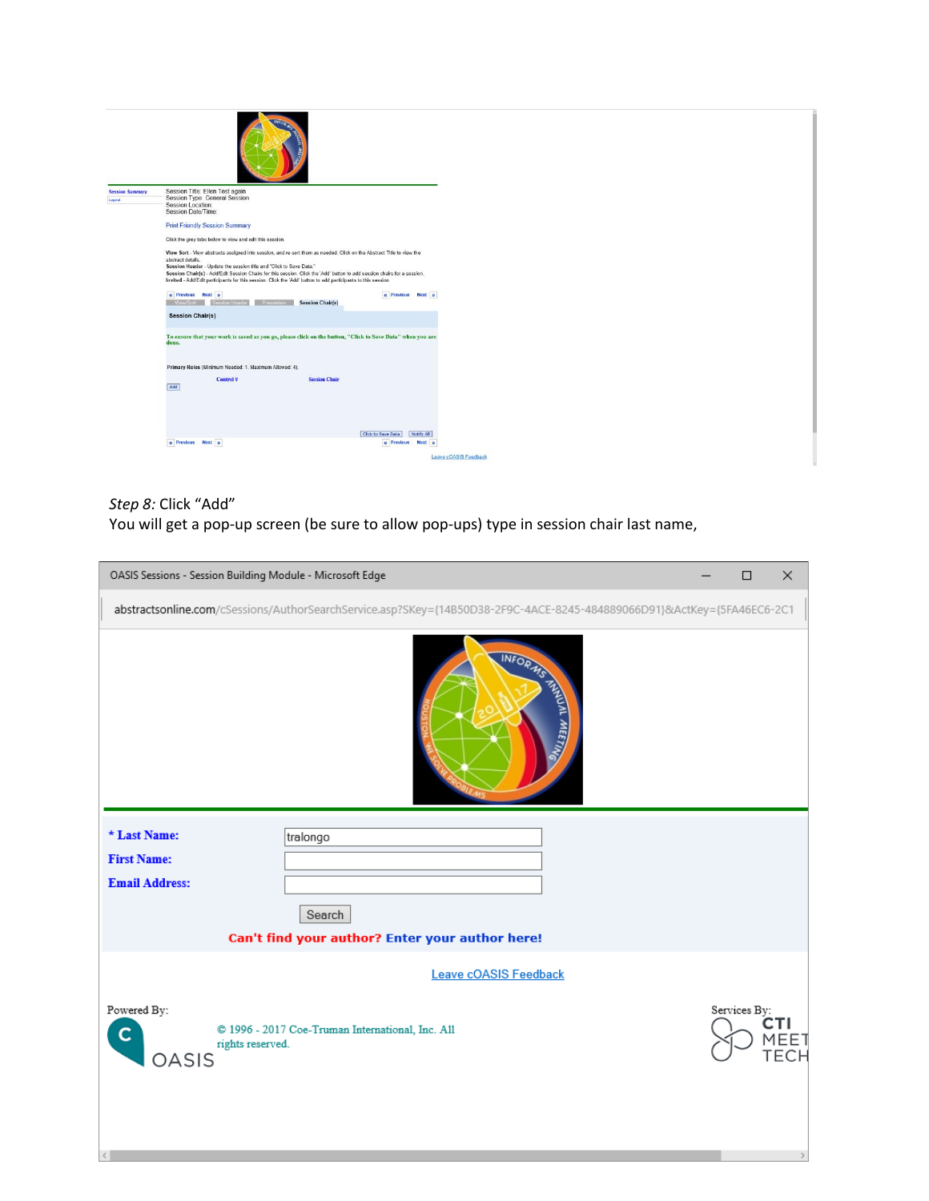

### *Step 8:* Click "Add"

 $\mathcal{L} = \{1, \ldots, n\}$ 

You will get a pop-up screen (be sure to allow pop-ups) type in session chair last name,

| OASIS Sessions - Session Building Module - Microsoft Edge   |                                                                                                                        |  | $\Box$       | $\times$                          |  |  |  |  |
|-------------------------------------------------------------|------------------------------------------------------------------------------------------------------------------------|--|--------------|-----------------------------------|--|--|--|--|
|                                                             | abstractsonline.com/cSessions/AuthorSearchService.asp?SKey={14B50D38-2F9C-4ACE-8245-484889066D91}&ActKey={5FA46EC6-2C1 |  |              |                                   |  |  |  |  |
|                                                             | INFORMS THREE WAS TO DAMN                                                                                              |  |              |                                   |  |  |  |  |
| * Last Name:<br><b>First Name:</b><br><b>Email Address:</b> | tralongo<br>Search                                                                                                     |  |              |                                   |  |  |  |  |
| Can't find your author? Enter your author here!             |                                                                                                                        |  |              |                                   |  |  |  |  |
|                                                             | <b>Leave cOASIS Feedback</b>                                                                                           |  |              |                                   |  |  |  |  |
| Powered By:<br>C<br>rights reserved.<br>OASIS               | @ 1996 - 2017 Coe-Truman International, Inc. All                                                                       |  | Services By: | CTI<br><b>MEET</b><br><b>TECH</b> |  |  |  |  |

 $\rightarrow$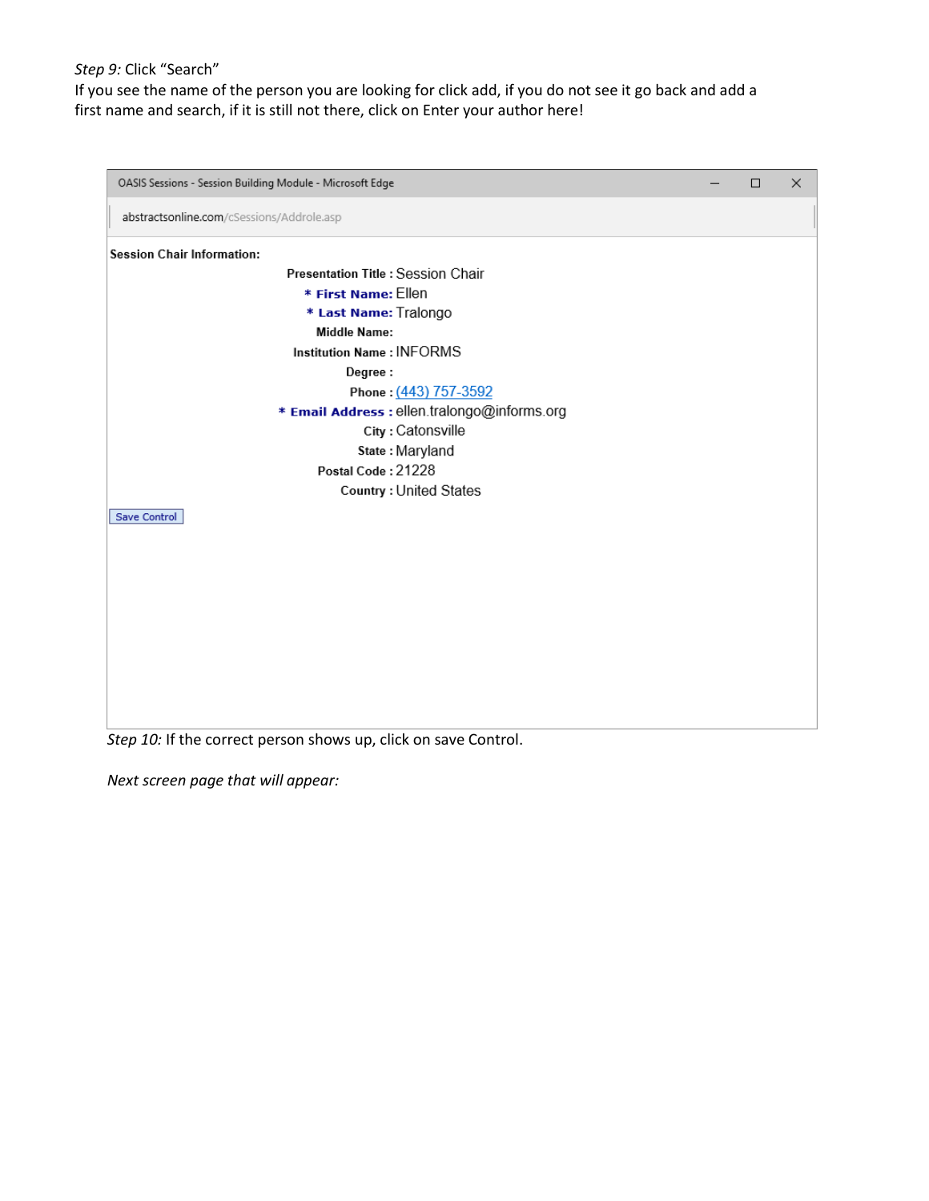### *Step 9:* Click "Search"

If you see the name of the person you are looking for click add, if you do not see it go back and add a first name and search, if it is still not there, click on Enter your author here!



*Step 10:* If the correct person shows up, click on save Control.

*Next screen page that will appear:*